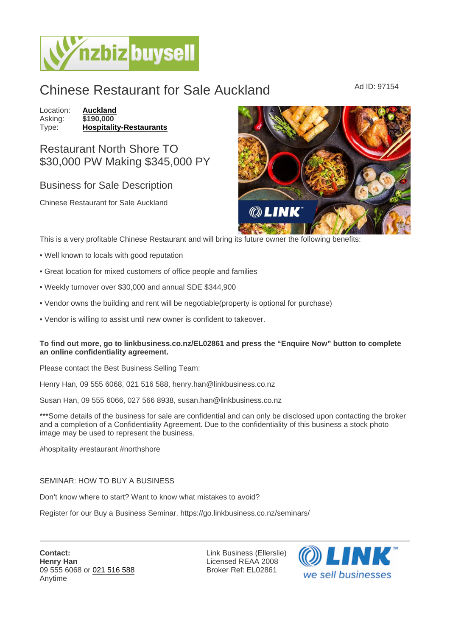## Chinese Restaurant for Sale Auckland Ad ID: 97154

Location: **[Auckland](https://www.nzbizbuysell.co.nz/businesses-for-sale/location/Auckland)**<br>Asking: \$190,000 Asking:<br>Type: [Hospitality-Restaurants](https://www.nzbizbuysell.co.nz/businesses-for-sale/Restaurants/New-Zealand)

Restaurant North Shore TO \$30,000 PW Making \$345,000 PY

## Business for Sale Description

Chinese Restaurant for Sale Auckland

This is a very profitable Chinese Restaurant and will bring its future owner the following benefits:

- Well known to locals with good reputation
- Great location for mixed customers of office people and families
- Weekly turnover over \$30,000 and annual SDE \$344,900
- Vendor owns the building and rent will be negotiable(property is optional for purchase)
- Vendor is willing to assist until new owner is confident to takeover.

To find out more, go to linkbusiness.co.nz/EL02861 and press the "Enquire Now" button to complete an online confidentiality agreement.

Please contact the Best Business Selling Team:

Henry Han, 09 555 6068, 021 516 588, henry.han@linkbusiness.co.nz

Susan Han, 09 555 6066, 027 566 8938, susan.han@linkbusiness.co.nz

\*\*\*Some details of the business for sale are confidential and can only be disclosed upon contacting the broker and a completion of a Confidentiality Agreement. Due to the confidentiality of this business a stock photo image may be used to represent the business.

#hospitality #restaurant #northshore

## SEMINAR: HOW TO BUY A BUSINESS

Don't know where to start? Want to know what mistakes to avoid?

Register for our Buy a Business Seminar. https://go.linkbusiness.co.nz/seminars/

Link Business (Ellerslie) Licensed REAA 2008 Broker Ref: EL02861